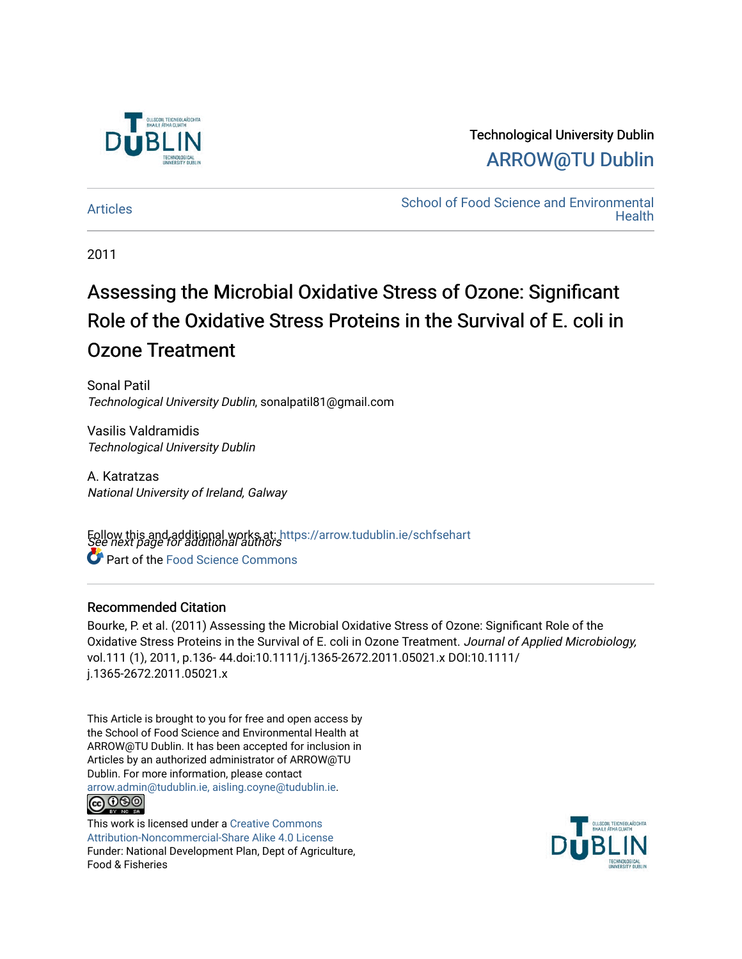

# Technological University Dublin [ARROW@TU Dublin](https://arrow.tudublin.ie/)

[Articles](https://arrow.tudublin.ie/schfsehart) **School of Food Science and Environmental Health** 

2011

# Assessing the Microbial Oxidative Stress of Ozone: Significant Role of the Oxidative Stress Proteins in the Survival of E. coli in Ozone Treatment

Sonal Patil Technological University Dublin, sonalpatil81@gmail.com

Vasilis Valdramidis Technological University Dublin

A. Katratzas National University of Ireland, Galway

Follow this and additional works at: https://arrow.tudublin.ie/schfsehart<br>See next page for additional authors **C** Part of the Food Science Commons

# Recommended Citation

Bourke, P. et al. (2011) Assessing the Microbial Oxidative Stress of Ozone: Significant Role of the Oxidative Stress Proteins in the Survival of E. coli in Ozone Treatment. Journal of Applied Microbiology, vol.111 (1), 2011, p.136- 44.doi:10.1111/j.1365-2672.2011.05021.x DOI:10.1111/ j.1365-2672.2011.05021.x

This Article is brought to you for free and open access by the School of Food Science and Environmental Health at ARROW@TU Dublin. It has been accepted for inclusion in Articles by an authorized administrator of ARROW@TU Dublin. For more information, please contact [arrow.admin@tudublin.ie, aisling.coyne@tudublin.ie](mailto:arrow.admin@tudublin.ie,%20aisling.coyne@tudublin.ie). **@@@** 

This work is licensed under a [Creative Commons](http://creativecommons.org/licenses/by-nc-sa/4.0/) [Attribution-Noncommercial-Share Alike 4.0 License](http://creativecommons.org/licenses/by-nc-sa/4.0/) Funder: National Development Plan, Dept of Agriculture, Food & Fisheries

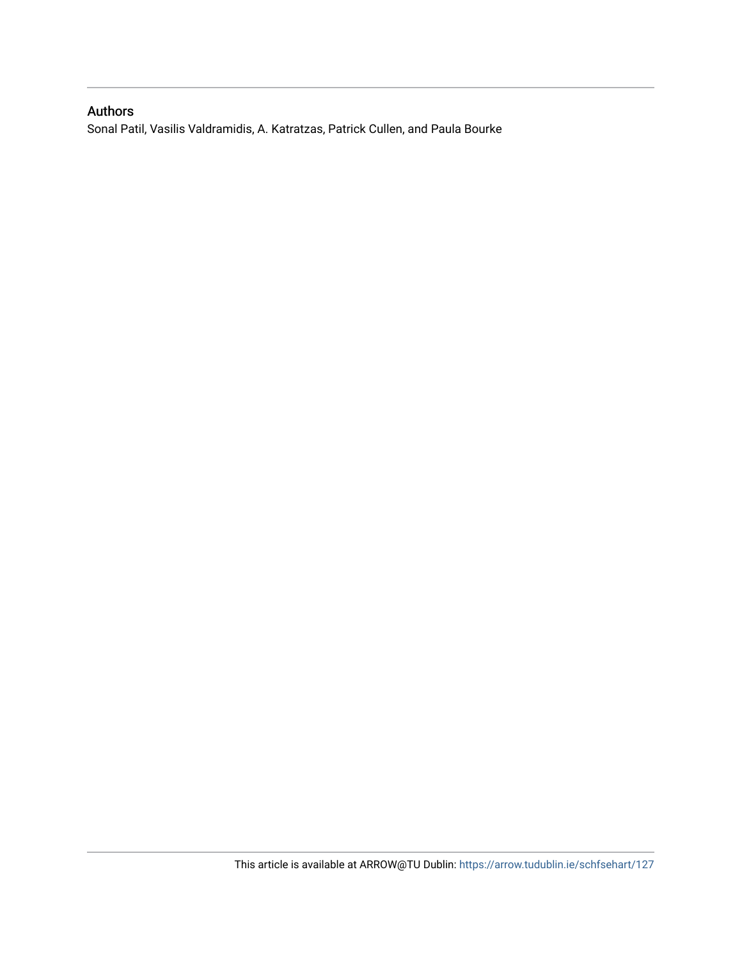# Authors

Sonal Patil, Vasilis Valdramidis, A. Katratzas, Patrick Cullen, and Paula Bourke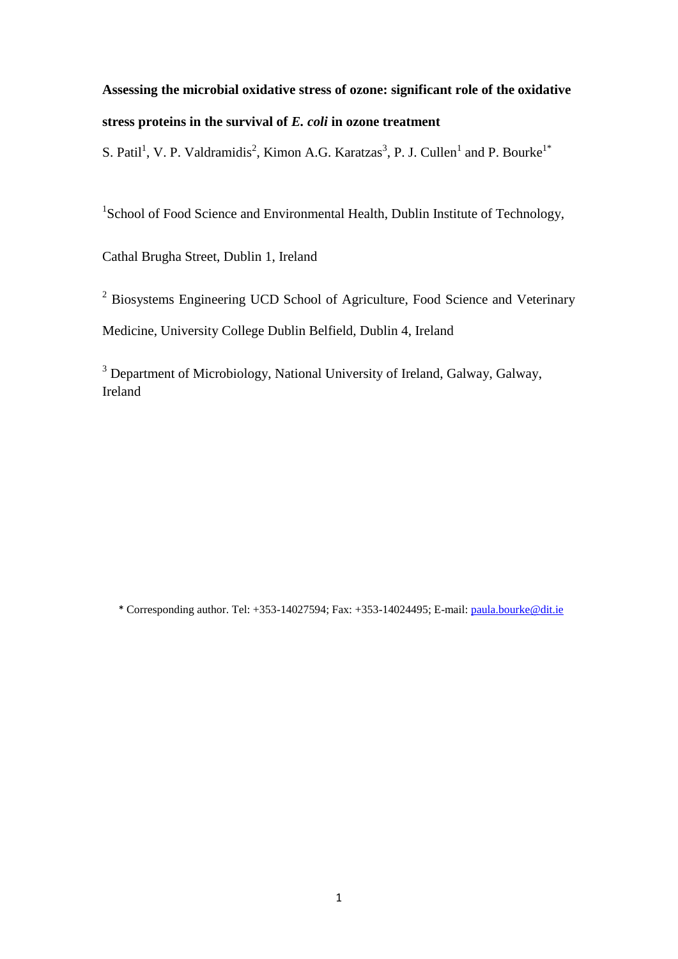# **Assessing the microbial oxidative stress of ozone: significant role of the oxidative stress proteins in the survival of** *E. coli* **in ozone treatment**

S. Patil<sup>1</sup>, V. P. Valdramidis<sup>2</sup>, Kimon A.G. Karatzas<sup>3</sup>, P. J. Cullen<sup>1</sup> and P. Bourke<sup>1\*</sup>

<sup>1</sup>School of Food Science and Environmental Health, Dublin Institute of Technology,

Cathal Brugha Street, Dublin 1, Ireland

<sup>2</sup> Biosystems Engineering UCD School of Agriculture, Food Science and Veterinary Medicine, University College Dublin Belfield, Dublin 4, Ireland

<sup>3</sup> Department of Microbiology, National University of Ireland, Galway, Galway, Ireland

\* Corresponding author. Tel: +353-14027594; Fax: +353-14024495; E-mail[: paula.bourke@dit.ie](mailto:paula.bourke@dit.ie)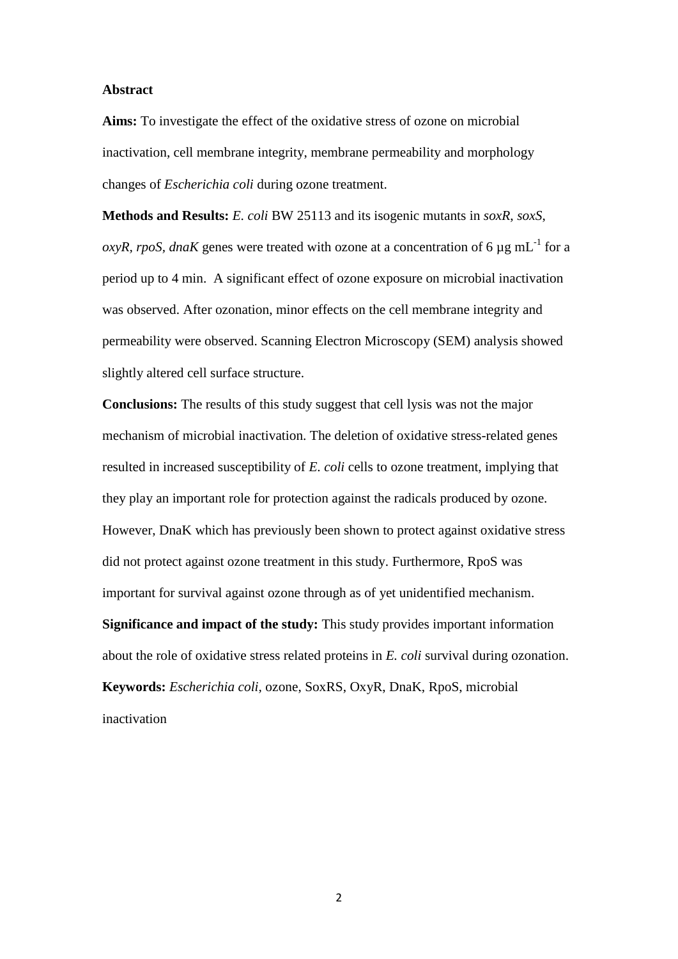#### **Abstract**

**Aims:** To investigate the effect of the oxidative stress of ozone on microbial inactivation, cell membrane integrity, membrane permeability and morphology changes of *Escherichia coli* during ozone treatment.

**Methods and Results:** *E. coli* BW 25113 and its isogenic mutants in *soxR*, *soxS*,  $oxyR$ , *rpoS*, *dnaK* genes were treated with ozone at a concentration of 6  $\mu$ g mL<sup>-1</sup> for a period up to 4 min. A significant effect of ozone exposure on microbial inactivation was observed. After ozonation, minor effects on the cell membrane integrity and permeability were observed. Scanning Electron Microscopy (SEM) analysis showed slightly altered cell surface structure.

**Conclusions:** The results of this study suggest that cell lysis was not the major mechanism of microbial inactivation. The deletion of oxidative stress-related genes resulted in increased susceptibility of *E. coli* cells to ozone treatment, implying that they play an important role for protection against the radicals produced by ozone. However, DnaK which has previously been shown to protect against oxidative stress did not protect against ozone treatment in this study. Furthermore, RpoS was important for survival against ozone through as of yet unidentified mechanism. **Significance and impact of the study:** This study provides important information about the role of oxidative stress related proteins in *E. coli* survival during ozonation. **Keywords:** *Escherichia coli,* ozone, SoxRS, OxyR, DnaK, RpoS, microbial inactivation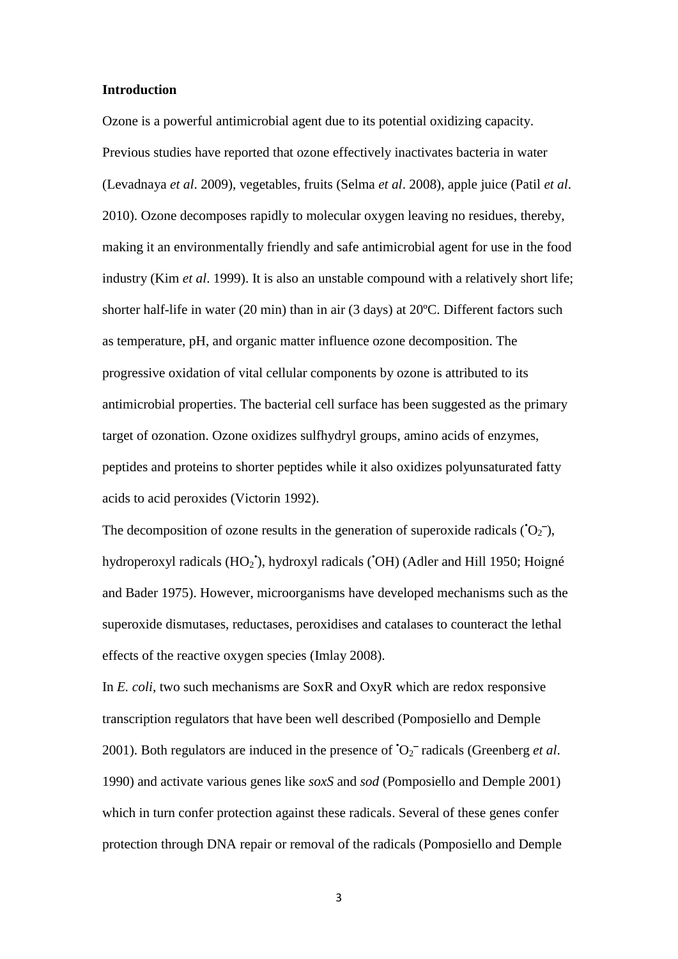#### **Introduction**

Ozone is a powerful antimicrobial agent due to its potential oxidizing capacity. Previous studies have reported that ozone effectively inactivates bacteria in water (Levadnaya *et al*. 2009), vegetables, fruits (Selma *et al*. 2008), apple juice (Patil *et al*. 2010). Ozone decomposes rapidly to molecular oxygen leaving no residues, thereby, making it an environmentally friendly and safe antimicrobial agent for use in the food industry (Kim *et al*. 1999). It is also an unstable compound with a relatively short life; shorter half-life in water (20 min) than in air (3 days) at 20ºC. Different factors such as temperature, pH, and organic matter influence ozone decomposition. The progressive oxidation of vital cellular components by ozone is attributed to its antimicrobial properties. The bacterial cell surface has been suggested as the primary target of ozonation. Ozone oxidizes sulfhydryl groups, amino acids of enzymes, peptides and proteins to shorter peptides while it also oxidizes polyunsaturated fatty acids to acid peroxides (Victorin 1992).

The decomposition of ozone results in the generation of superoxide radicals ( $O<sub>2</sub>$ ), hydroperoxyl radicals (HO<sub>2</sub><sup>\*</sup>), hydroxyl radicals (<sup>\*</sup>OH) (Adler and Hill 1950; Hoigné and Bader 1975). However, microorganisms have developed mechanisms such as the superoxide dismutases, reductases, peroxidises and catalases to counteract the lethal effects of the reactive oxygen species (Imlay 2008).

In *E. coli*, two such mechanisms are SoxR and OxyR which are redox responsive transcription regulators that have been well described (Pomposiello and Demple 2001). Both regulators are induced in the presence of  $O_2^-$  radicals (Greenberg *et al.*) 1990) and activate various genes like *soxS* and *sod* (Pomposiello and Demple 2001) which in turn confer protection against these radicals. Several of these genes confer protection through DNA repair or removal of the radicals (Pomposiello and Demple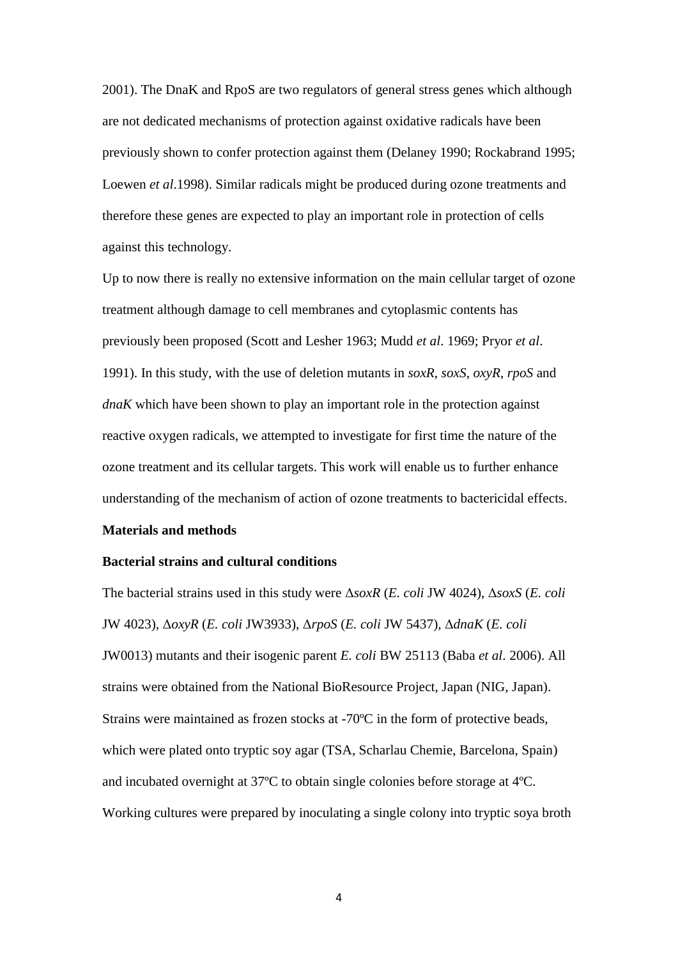2001). The DnaK and RpoS are two regulators of general stress genes which although are not dedicated mechanisms of protection against oxidative radicals have been previously shown to confer protection against them (Delaney 1990; Rockabrand 1995; Loewen *et al*.1998). Similar radicals might be produced during ozone treatments and therefore these genes are expected to play an important role in protection of cells against this technology.

Up to now there is really no extensive information on the main cellular target of ozone treatment although damage to cell membranes and cytoplasmic contents has previously been proposed (Scott and Lesher 1963; Mudd *et al*. 1969; Pryor *et al*. 1991). In this study, with the use of deletion mutants in *soxR*, *soxS*, *oxyR*, *rpoS* and *dnaK* which have been shown to play an important role in the protection against reactive oxygen radicals, we attempted to investigate for first time the nature of the ozone treatment and its cellular targets. This work will enable us to further enhance understanding of the mechanism of action of ozone treatments to bactericidal effects.

### **Materials and methods**

#### **Bacterial strains and cultural conditions**

The bacterial strains used in this study were Δ*soxR* (*E. coli* JW 4024), Δ*soxS* (*E. coli*  JW 4023), Δ*oxyR* (*E. coli* JW3933), Δ*rpoS* (*E. coli* JW 5437)*,* Δ*dnaK* (*E. coli*  JW0013) mutants and their isogenic parent *E. coli* BW 25113 (Baba *et al*. 2006). All strains were obtained from the National BioResource Project, Japan (NIG, Japan). Strains were maintained as frozen stocks at -70ºC in the form of protective beads, which were plated onto tryptic soy agar (TSA, Scharlau Chemie, Barcelona, Spain) and incubated overnight at 37ºC to obtain single colonies before storage at 4ºC. Working cultures were prepared by inoculating a single colony into tryptic soya broth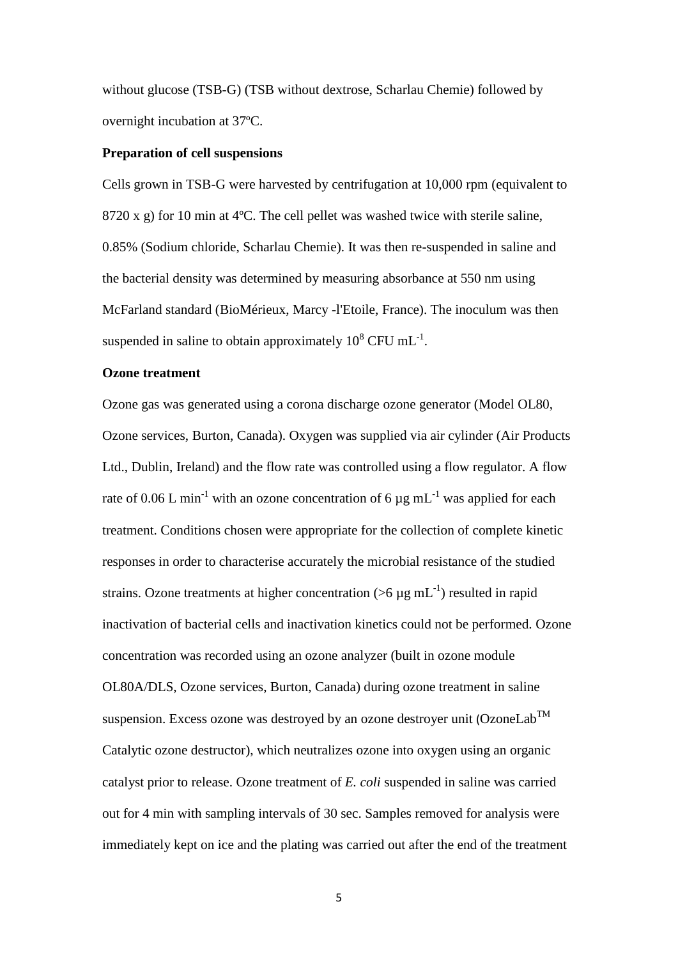without glucose (TSB-G) (TSB without dextrose, Scharlau Chemie) followed by overnight incubation at 37ºC.

#### **Preparation of cell suspensions**

Cells grown in TSB-G were harvested by centrifugation at 10,000 rpm (equivalent to 8720 x g) for 10 min at 4ºC. The cell pellet was washed twice with sterile saline, 0.85% (Sodium chloride, Scharlau Chemie). It was then re-suspended in saline and the bacterial density was determined by measuring absorbance at 550 nm using McFarland standard (BioMérieux, Marcy -l'Etoile, France). The inoculum was then suspended in saline to obtain approximately  $10^8$  CFU mL<sup>-1</sup>.

# **Ozone treatment**

Ozone gas was generated using a corona discharge ozone generator (Model OL80, Ozone services, Burton, Canada). Oxygen was supplied via air cylinder (Air Products Ltd., Dublin, Ireland) and the flow rate was controlled using a flow regulator. A flow rate of 0.06 L min<sup>-1</sup> with an ozone concentration of 6  $\mu$ g mL<sup>-1</sup> was applied for each treatment. Conditions chosen were appropriate for the collection of complete kinetic responses in order to characterise accurately the microbial resistance of the studied strains. Ozone treatments at higher concentration ( $>6 \mu g$  mL<sup>-1</sup>) resulted in rapid inactivation of bacterial cells and inactivation kinetics could not be performed. Ozone concentration was recorded using an ozone analyzer (built in ozone module OL80A/DLS, Ozone services, Burton, Canada) during ozone treatment in saline suspension. Excess ozone was destroyed by an ozone destroyer unit (OzoneLab<sup>TM</sup> Catalytic ozone destructor), which neutralizes ozone into oxygen using an organic catalyst prior to release. Ozone treatment of *E. coli* suspended in saline was carried out for 4 min with sampling intervals of 30 sec. Samples removed for analysis were immediately kept on ice and the plating was carried out after the end of the treatment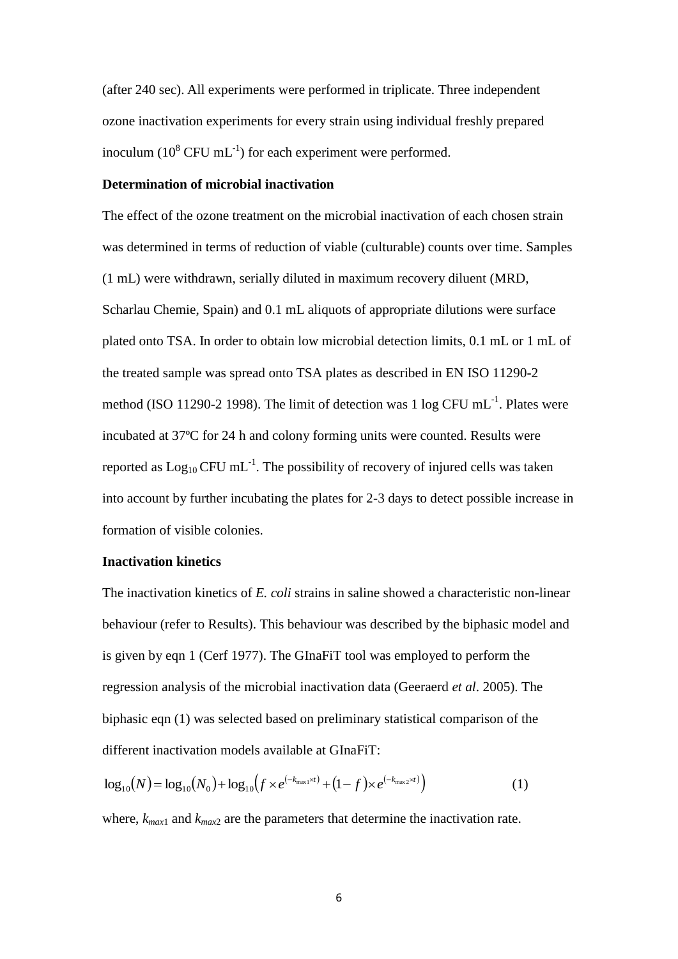(after 240 sec). All experiments were performed in triplicate. Three independent ozone inactivation experiments for every strain using individual freshly prepared inoculum ( $10^8$  CFU mL<sup>-1</sup>) for each experiment were performed.

# **Determination of microbial inactivation**

The effect of the ozone treatment on the microbial inactivation of each chosen strain was determined in terms of reduction of viable (culturable) counts over time. Samples (1 mL) were withdrawn, serially diluted in maximum recovery diluent (MRD, Scharlau Chemie, Spain) and 0.1 mL aliquots of appropriate dilutions were surface plated onto TSA. In order to obtain low microbial detection limits, 0.1 mL or 1 mL of the treated sample was spread onto TSA plates as described in EN ISO 11290-2 method (ISO 11290-2 1998). The limit of detection was  $1 \log CFU \text{ mL}^{-1}$ . Plates were incubated at 37ºC for 24 h and colony forming units were counted. Results were reported as  $Log_{10}$  CFU mL<sup>-1</sup>. The possibility of recovery of injured cells was taken into account by further incubating the plates for 2-3 days to detect possible increase in formation of visible colonies.

# **Inactivation kinetics**

The inactivation kinetics of *E. coli* strains in saline showed a characteristic non-linear behaviour (refer to Results). This behaviour was described by the biphasic model and is given by eqn 1 (Cerf 1977). The GInaFiT tool was employed to perform the regression analysis of the microbial inactivation data (Geeraerd *et al*. 2005). The biphasic eqn (1) was selected based on preliminary statistical comparison of the different inactivation models available at GInaFiT:

$$
\log_{10}(N) = \log_{10}(N_0) + \log_{10}(f \times e^{(-k_{\max}N)} + (1 - f) \times e^{(-k_{\max}2N)})
$$
\n(1)

where,  $k_{max1}$  and  $k_{max2}$  are the parameters that determine the inactivation rate.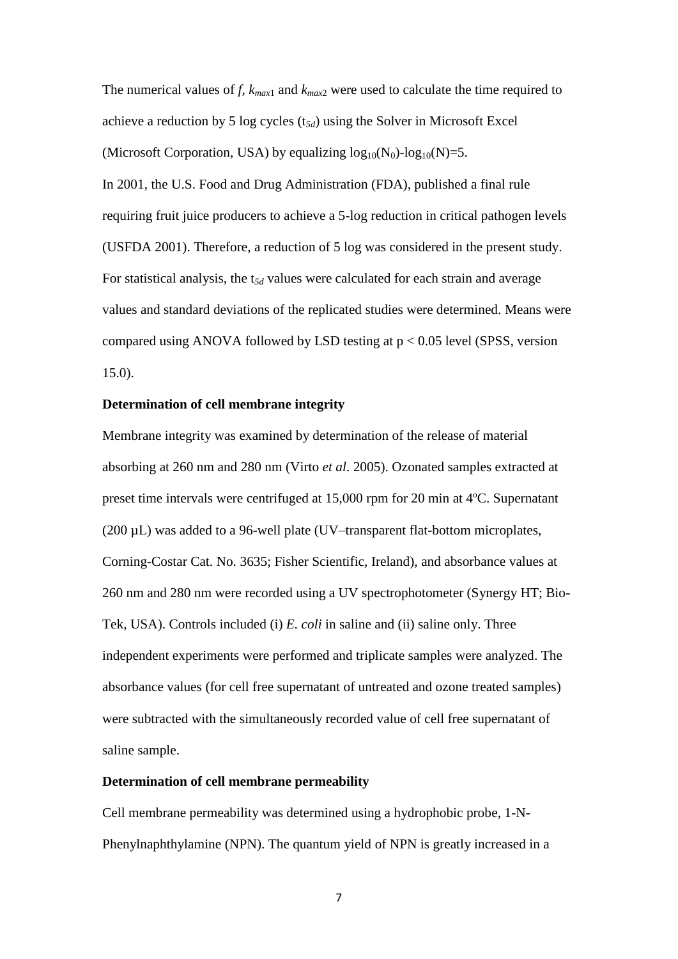The numerical values of *f, kmax*<sup>1</sup> and *kmax*<sup>2</sup> were used to calculate the time required to achieve a reduction by 5 log cycles (t*5d*) using the Solver in Microsoft Excel (Microsoft Corporation, USA) by equalizing  $log_{10}(N_0)$ -log<sub>10</sub>(N)=5.

In 2001, the U.S. Food and Drug Administration (FDA), published a final rule requiring fruit juice producers to achieve a 5-log reduction in critical pathogen levels (USFDA 2001). Therefore, a reduction of 5 log was considered in the present study. For statistical analysis, the t*5d* values were calculated for each strain and average values and standard deviations of the replicated studies were determined. Means were compared using ANOVA followed by LSD testing at  $p < 0.05$  level (SPSS, version 15.0).

# **Determination of cell membrane integrity**

Membrane integrity was examined by determination of the release of material absorbing at 260 nm and 280 nm (Virto *et al*. 2005). Ozonated samples extracted at preset time intervals were centrifuged at 15,000 rpm for 20 min at 4ºC. Supernatant (200 µL) was added to a 96-well plate (UV–transparent flat-bottom microplates, Corning-Costar Cat. No. 3635; Fisher Scientific, Ireland), and absorbance values at 260 nm and 280 nm were recorded using a UV spectrophotometer (Synergy HT; Bio-Tek, USA). Controls included (i) *E. coli* in saline and (ii) saline only. Three independent experiments were performed and triplicate samples were analyzed. The absorbance values (for cell free supernatant of untreated and ozone treated samples) were subtracted with the simultaneously recorded value of cell free supernatant of saline sample.

# **Determination of cell membrane permeability**

Cell membrane permeability was determined using a hydrophobic probe, 1-N-Phenylnaphthylamine (NPN). The quantum yield of NPN is greatly increased in a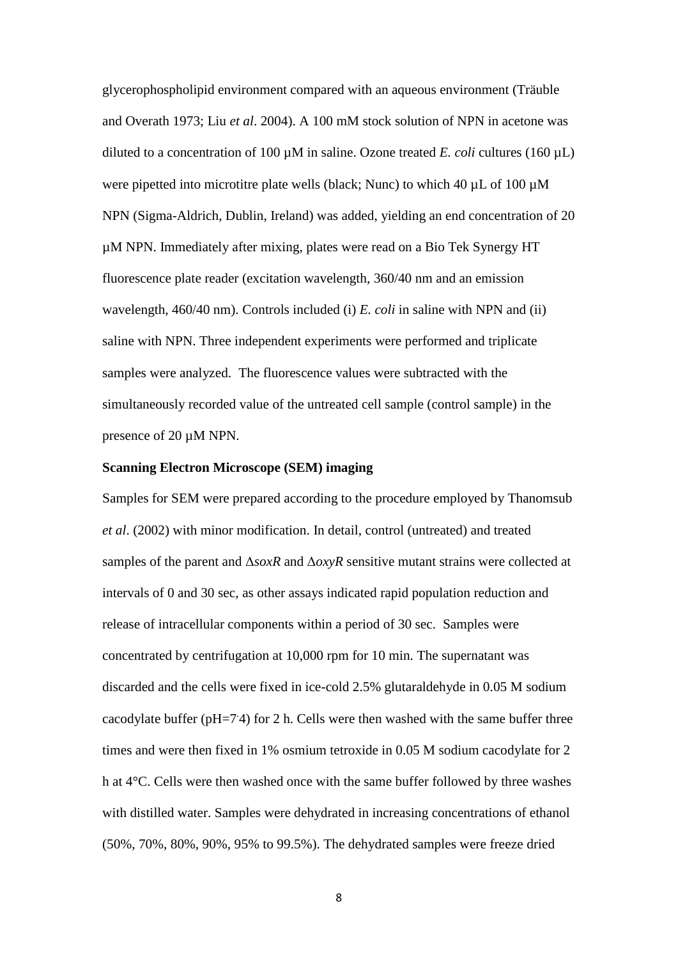glycerophospholipid environment compared with an aqueous environment (Träuble and Overath 1973; Liu *et al*. 2004). A 100 mM stock solution of NPN in acetone was diluted to a concentration of 100  $\mu$ M in saline. Ozone treated *E. coli* cultures (160  $\mu$ L) were pipetted into microtitre plate wells (black; Nunc) to which 40  $\mu$ L of 100  $\mu$ M NPN (Sigma-Aldrich, Dublin, Ireland) was added, yielding an end concentration of 20 µM NPN. Immediately after mixing, plates were read on a Bio Tek Synergy HT fluorescence plate reader (excitation wavelength, 360/40 nm and an emission wavelength, 460/40 nm). Controls included (i) *E. coli* in saline with NPN and (ii) saline with NPN. Three independent experiments were performed and triplicate samples were analyzed. The fluorescence values were subtracted with the simultaneously recorded value of the untreated cell sample (control sample) in the presence of 20 µM NPN.

# **Scanning Electron Microscope (SEM) imaging**

Samples for SEM were prepared according to the procedure employed by Thanomsub *et al*. (2002) with minor modification. In detail, control (untreated) and treated samples of the parent and Δ*soxR* and Δ*oxyR* sensitive mutant strains were collected at intervals of 0 and 30 sec, as other assays indicated rapid population reduction and release of intracellular components within a period of 30 sec. Samples were concentrated by centrifugation at 10,000 rpm for 10 min. The supernatant was discarded and the cells were fixed in ice-cold 2.5% glutaraldehyde in 0.05 M sodium cacodylate buffer (pH=74) for 2 h. Cells were then washed with the same buffer three times and were then fixed in 1% osmium tetroxide in 0.05 M sodium cacodylate for 2 h at 4°C. Cells were then washed once with the same buffer followed by three washes with distilled water. Samples were dehydrated in increasing concentrations of ethanol (50%, 70%, 80%, 90%, 95% to 99.5%). The dehydrated samples were freeze dried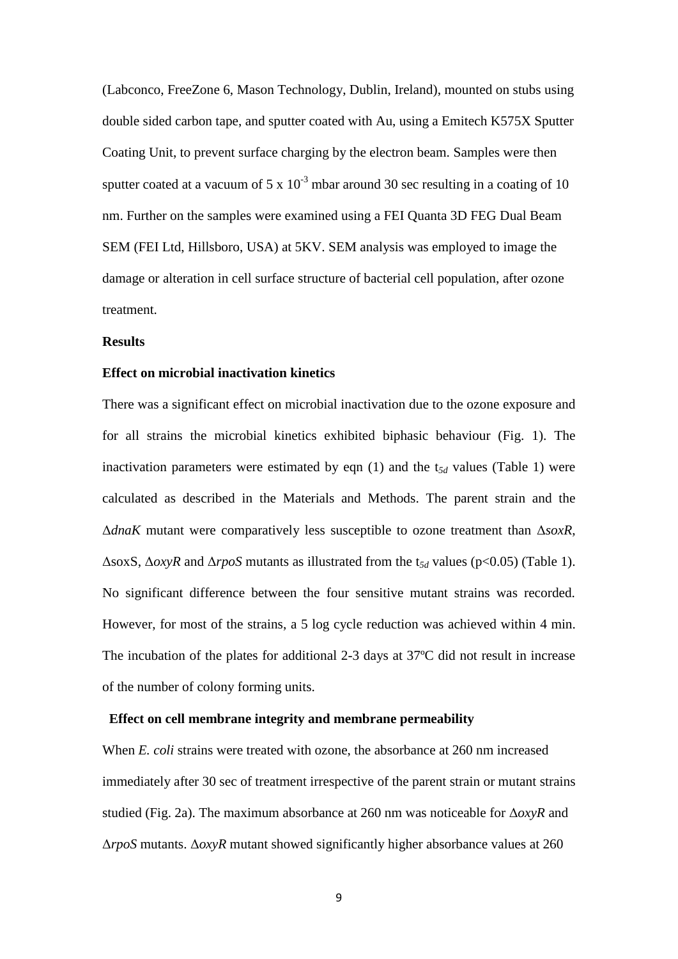(Labconco, FreeZone 6, Mason Technology, Dublin, Ireland), mounted on stubs using double sided carbon tape, and sputter coated with Au, using a Emitech K575X Sputter Coating Unit, to prevent surface charging by the electron beam. Samples were then sputter coated at a vacuum of  $5 \times 10^{-3}$  mbar around 30 sec resulting in a coating of 10 nm. Further on the samples were examined using a FEI Quanta 3D FEG Dual Beam SEM (FEI Ltd, Hillsboro, USA) at 5KV. SEM analysis was employed to image the damage or alteration in cell surface structure of bacterial cell population, after ozone treatment.

### **Results**

# **Effect on microbial inactivation kinetics**

There was a significant effect on microbial inactivation due to the ozone exposure and for all strains the microbial kinetics exhibited biphasic behaviour (Fig. 1). The inactivation parameters were estimated by eqn  $(1)$  and the  $t_{5d}$  values (Table 1) were calculated as described in the Materials and Methods. The parent strain and the Δ*dnaK* mutant were comparatively less susceptible to ozone treatment than Δ*soxR*, ΔsoxS, Δ*oxyR* and Δ*rpoS* mutants as illustrated from the t*5d* values (p<0.05) (Table 1). No significant difference between the four sensitive mutant strains was recorded. However, for most of the strains, a 5 log cycle reduction was achieved within 4 min. The incubation of the plates for additional 2-3 days at 37ºC did not result in increase of the number of colony forming units.

### **Effect on cell membrane integrity and membrane permeability**

When *E. coli* strains were treated with ozone, the absorbance at 260 nm increased immediately after 30 sec of treatment irrespective of the parent strain or mutant strains studied (Fig. 2a). The maximum absorbance at 260 nm was noticeable for Δ*oxyR* and Δ*rpoS* mutants. Δ*oxyR* mutant showed significantly higher absorbance values at 260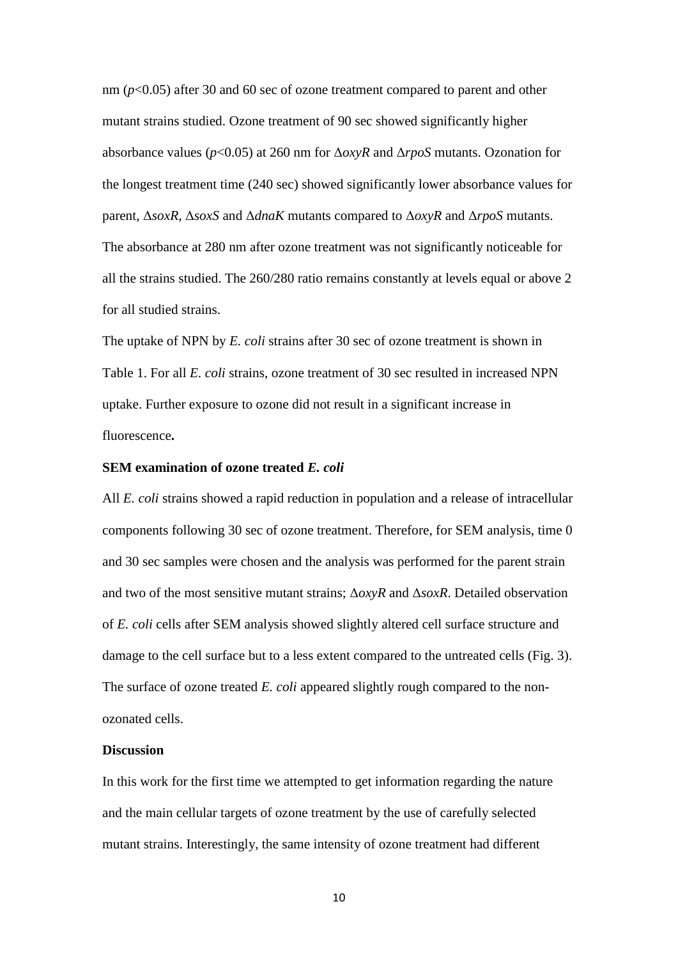nm (*p*<0.05) after 30 and 60 sec of ozone treatment compared to parent and other mutant strains studied. Ozone treatment of 90 sec showed significantly higher absorbance values (*p*<0.05) at 260 nm for Δ*oxyR* and Δ*rpoS* mutants. Ozonation for the longest treatment time (240 sec) showed significantly lower absorbance values for parent, Δ*soxR*, Δ*soxS* and Δ*dnaK* mutants compared to Δ*oxyR* and Δ*rpoS* mutants. The absorbance at 280 nm after ozone treatment was not significantly noticeable for all the strains studied. The 260/280 ratio remains constantly at levels equal or above 2 for all studied strains.

The uptake of NPN by *E. coli* strains after 30 sec of ozone treatment is shown in Table 1. For all *E. coli* strains, ozone treatment of 30 sec resulted in increased NPN uptake. Further exposure to ozone did not result in a significant increase in fluorescence**.** 

## **SEM examination of ozone treated** *E. coli*

All *E. coli* strains showed a rapid reduction in population and a release of intracellular components following 30 sec of ozone treatment. Therefore, for SEM analysis, time 0 and 30 sec samples were chosen and the analysis was performed for the parent strain and two of the most sensitive mutant strains; Δ*oxyR* and Δ*soxR*. Detailed observation of *E. coli* cells after SEM analysis showed slightly altered cell surface structure and damage to the cell surface but to a less extent compared to the untreated cells (Fig. 3). The surface of ozone treated *E. coli* appeared slightly rough compared to the nonozonated cells.

# **Discussion**

In this work for the first time we attempted to get information regarding the nature and the main cellular targets of ozone treatment by the use of carefully selected mutant strains. Interestingly, the same intensity of ozone treatment had different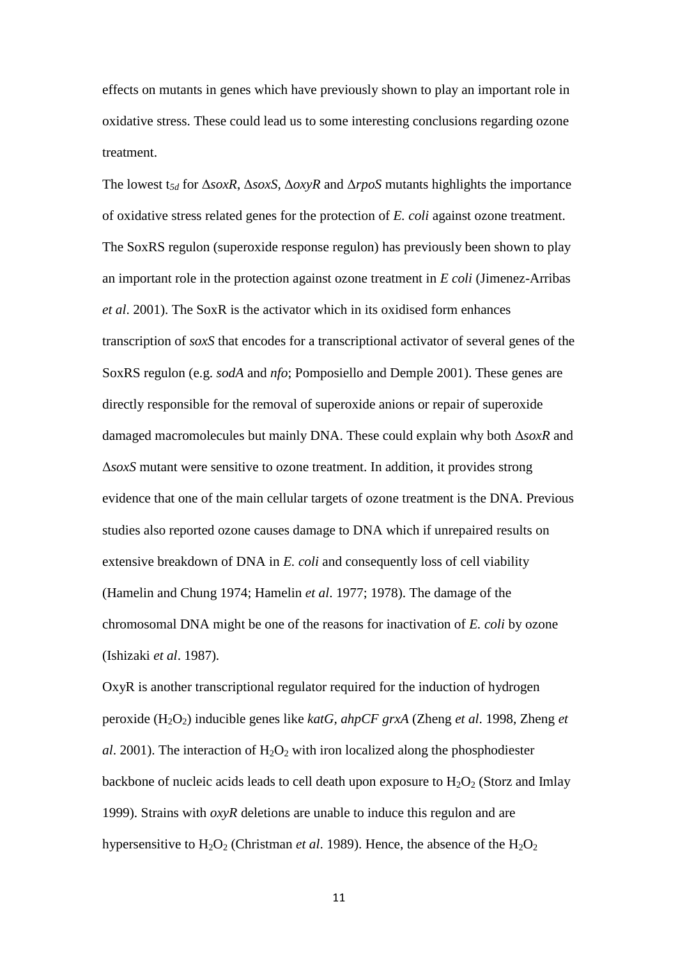effects on mutants in genes which have previously shown to play an important role in oxidative stress. These could lead us to some interesting conclusions regarding ozone treatment.

The lowest t*5d* for Δ*soxR*, Δ*soxS*, Δ*oxyR* and Δ*rpoS* mutants highlights the importance of oxidative stress related genes for the protection of *E. coli* against ozone treatment. The SoxRS regulon (superoxide response regulon) has previously been shown to play an important role in the protection against ozone treatment in *E coli* (Jimenez-Arribas *et al*. 2001). The SoxR is the activator which in its oxidised form enhances transcription of *soxS* that encodes for a transcriptional activator of several genes of the SoxRS regulon (e.g. *sodA* and *nfo*; Pomposiello and Demple 2001). These genes are directly responsible for the removal of superoxide anions or repair of superoxide damaged macromolecules but mainly DNA. These could explain why both Δ*soxR* and Δ*soxS* mutant were sensitive to ozone treatment. In addition, it provides strong evidence that one of the main cellular targets of ozone treatment is the DNA. Previous studies also reported ozone causes damage to DNA which if unrepaired results on extensive breakdown of DNA in *E. coli* and consequently loss of cell viability (Hamelin and Chung 1974; Hamelin *et al*. 1977; 1978). The damage of the chromosomal DNA might be one of the reasons for inactivation of *E. coli* by ozone (Ishizaki *et al*. 1987)*.*

OxyR is another transcriptional regulator required for the induction of hydrogen peroxide (H2O2) inducible genes like *katG, ahpCF grxA* (Zheng *et al*. 1998, Zheng *et al*. 2001). The interaction of  $H_2O_2$  with iron localized along the phosphodiester backbone of nucleic acids leads to cell death upon exposure to  $H_2O_2$  (Storz and Imlay 1999). Strains with *oxyR* deletions are unable to induce this regulon and are hypersensitive to  $H_2O_2$  (Christman *et al.* 1989). Hence, the absence of the  $H_2O_2$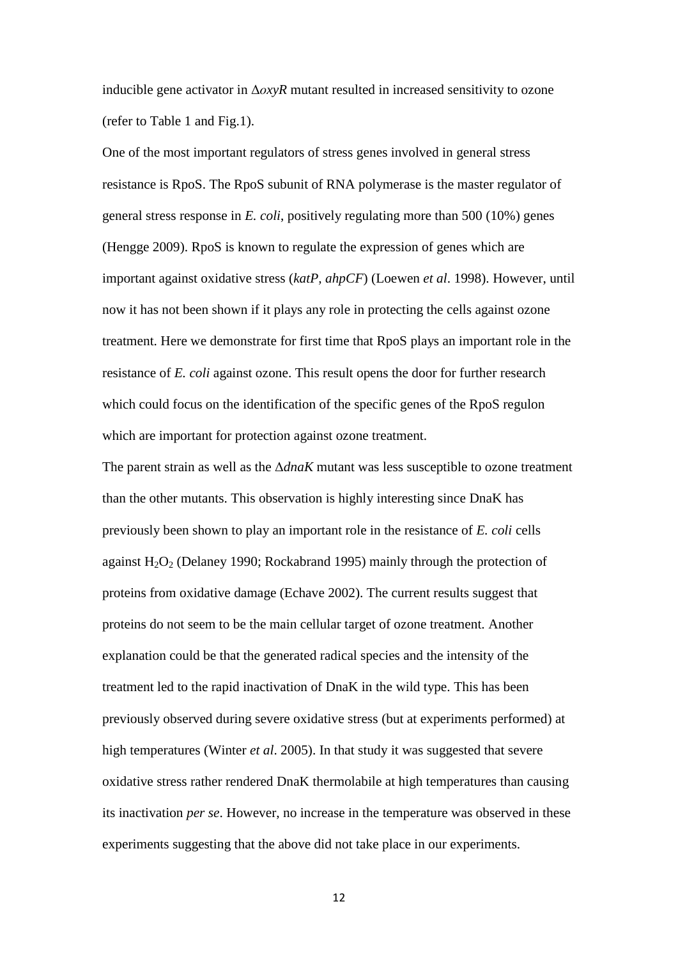inducible gene activator in Δ*οxyR* mutant resulted in increased sensitivity to ozone (refer to Table 1 and Fig.1).

One of the most important regulators of stress genes involved in general stress resistance is RpoS. The RpoS subunit of RNA polymerase is the master regulator of general stress response in *E. coli*, positively regulating more than 500 (10%) genes (Hengge 2009). RpoS is known to regulate the expression of genes which are important against oxidative stress (*katP, ahpCF*) (Loewen *et al*. 1998). However, until now it has not been shown if it plays any role in protecting the cells against ozone treatment. Here we demonstrate for first time that RpoS plays an important role in the resistance of *E. coli* against ozone. This result opens the door for further research which could focus on the identification of the specific genes of the RpoS regulon which are important for protection against ozone treatment.

The parent strain as well as the Δ*dnaK* mutant was less susceptible to ozone treatment than the other mutants. This observation is highly interesting since DnaK has previously been shown to play an important role in the resistance of *E. coli* cells against  $H_2O_2$  (Delaney 1990; Rockabrand 1995) mainly through the protection of proteins from oxidative damage (Echave 2002). The current results suggest that proteins do not seem to be the main cellular target of ozone treatment. Another explanation could be that the generated radical species and the intensity of the treatment led to the rapid inactivation of DnaK in the wild type. This has been previously observed during severe oxidative stress (but at experiments performed) at high temperatures (Winter *et al*. 2005). In that study it was suggested that severe oxidative stress rather rendered DnaK thermolabile at high temperatures than causing its inactivation *per se*. However, no increase in the temperature was observed in these experiments suggesting that the above did not take place in our experiments.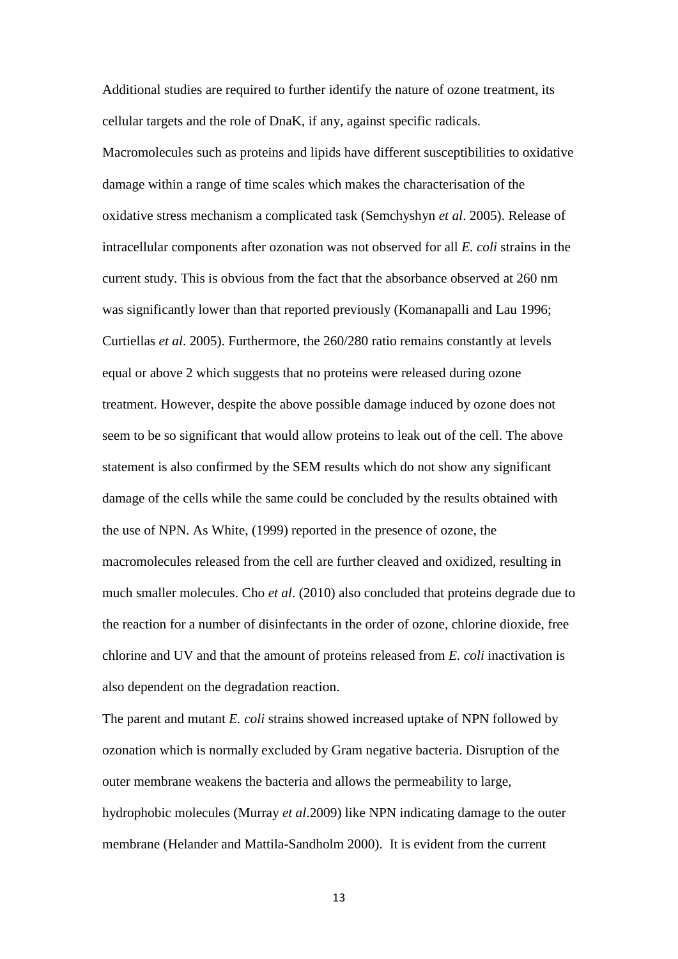Additional studies are required to further identify the nature of ozone treatment, its cellular targets and the role of DnaK, if any, against specific radicals. Macromolecules such as proteins and lipids have different susceptibilities to oxidative damage within a range of time scales which makes the characterisation of the oxidative stress mechanism a complicated task (Semchyshyn *et al*. 2005). Release of intracellular components after ozonation was not observed for all *E. coli* strains in the current study. This is obvious from the fact that the absorbance observed at 260 nm was significantly lower than that reported previously (Komanapalli and Lau 1996; Curtiellas *et al*. 2005). Furthermore, the 260/280 ratio remains constantly at levels equal or above 2 which suggests that no proteins were released during ozone treatment. However, despite the above possible damage induced by ozone does not seem to be so significant that would allow proteins to leak out of the cell. The above statement is also confirmed by the SEM results which do not show any significant damage of the cells while the same could be concluded by the results obtained with the use of NPN. As White, (1999) reported in the presence of ozone, the macromolecules released from the cell are further cleaved and oxidized, resulting in much smaller molecules. Cho *et al*. (2010) also concluded that proteins degrade due to the reaction for a number of disinfectants in the order of ozone, chlorine dioxide, free chlorine and UV and that the amount of proteins released from *E. coli* inactivation is also dependent on the degradation reaction.

The parent and mutant *E. coli* strains showed increased uptake of NPN followed by ozonation which is normally excluded by Gram negative bacteria. Disruption of the outer membrane weakens the bacteria and allows the permeability to large, hydrophobic molecules (Murray *et al*.2009) like NPN indicating damage to the outer membrane (Helander and Mattila-Sandholm 2000). It is evident from the current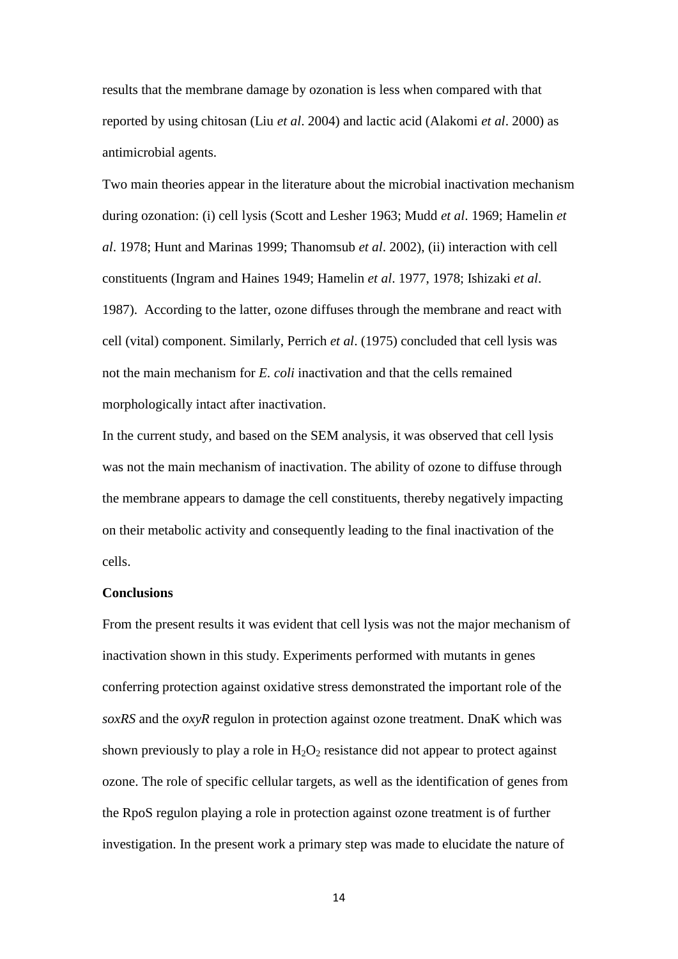results that the membrane damage by ozonation is less when compared with that reported by using chitosan (Liu *et al*. 2004) and lactic acid (Alakomi *et al*. 2000) as antimicrobial agents.

Two main theories appear in the literature about the microbial inactivation mechanism during ozonation: (i) cell lysis (Scott and Lesher 1963; Mudd *et al*. 1969; Hamelin *et al*. 1978; Hunt and Marinas 1999; Thanomsub *et al*. 2002), (ii) interaction with cell constituents (Ingram and Haines 1949; Hamelin *et al*. 1977, 1978; Ishizaki *et al*. 1987). According to the latter, ozone diffuses through the membrane and react with cell (vital) component. Similarly, Perrich *et al*. (1975) concluded that cell lysis was not the main mechanism for *E. coli* inactivation and that the cells remained morphologically intact after inactivation.

In the current study, and based on the SEM analysis, it was observed that cell lysis was not the main mechanism of inactivation. The ability of ozone to diffuse through the membrane appears to damage the cell constituents, thereby negatively impacting on their metabolic activity and consequently leading to the final inactivation of the cells.

# **Conclusions**

From the present results it was evident that cell lysis was not the major mechanism of inactivation shown in this study. Experiments performed with mutants in genes conferring protection against oxidative stress demonstrated the important role of the *soxRS* and the *oxyR* regulon in protection against ozone treatment. DnaK which was shown previously to play a role in  $H_2O_2$  resistance did not appear to protect against ozone. The role of specific cellular targets, as well as the identification of genes from the RpoS regulon playing a role in protection against ozone treatment is of further investigation. In the present work a primary step was made to elucidate the nature of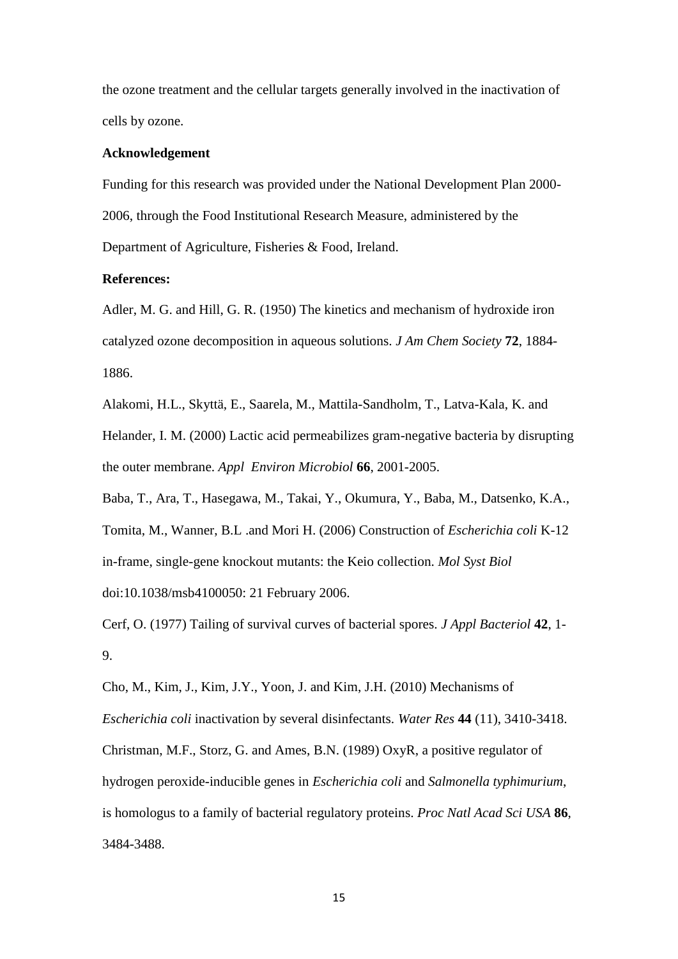the ozone treatment and the cellular targets generally involved in the inactivation of cells by ozone.

#### **Acknowledgement**

Funding for this research was provided under the National Development Plan 2000- 2006, through the Food Institutional Research Measure, administered by the Department of Agriculture, Fisheries & Food, Ireland.

#### **References:**

Adler, M. G. and Hill, G. R. (1950) The kinetics and mechanism of hydroxide iron catalyzed ozone decomposition in aqueous solutions. *J Am Chem Society* **72**, 1884- 1886.

Alakomi, H.L., Skyttä, E., Saarela, M., Mattila-Sandholm, T., Latva-Kala, K. and Helander, I. M. (2000) Lactic acid permeabilizes gram-negative bacteria by disrupting the outer membrane. *Appl Environ Microbiol* **66**, 2001-2005.

Baba, T., Ara, T., Hasegawa, M., Takai, Y., Okumura, Y., Baba, M., Datsenko, K.A., Tomita, M., Wanner, B.L .and Mori H. (2006) Construction of *Escherichia coli* K-12 in-frame, single-gene knockout mutants: the Keio collection. *Mol Syst Biol* doi:10.1038/msb4100050: 21 February 2006.

Cerf, O. (1977) Tailing of survival curves of bacterial spores. *J Appl Bacteriol* **42**, 1- 9.

Cho, M., Kim, J., Kim, J.Y., Yoon, J. and Kim, J.H. (2010) Mechanisms of *Escherichia coli* inactivation by several disinfectants. *Water Res* **44** (11), 3410-3418. Christman, M.F., Storz, G. and Ames, B.N. (1989) OxyR, a positive regulator of hydrogen peroxide-inducible genes in *Escherichia coli* and *Salmonella typhimurium*, is homologus to a family of bacterial regulatory proteins. *Proc Natl Acad Sci USA* **86**, 3484-3488.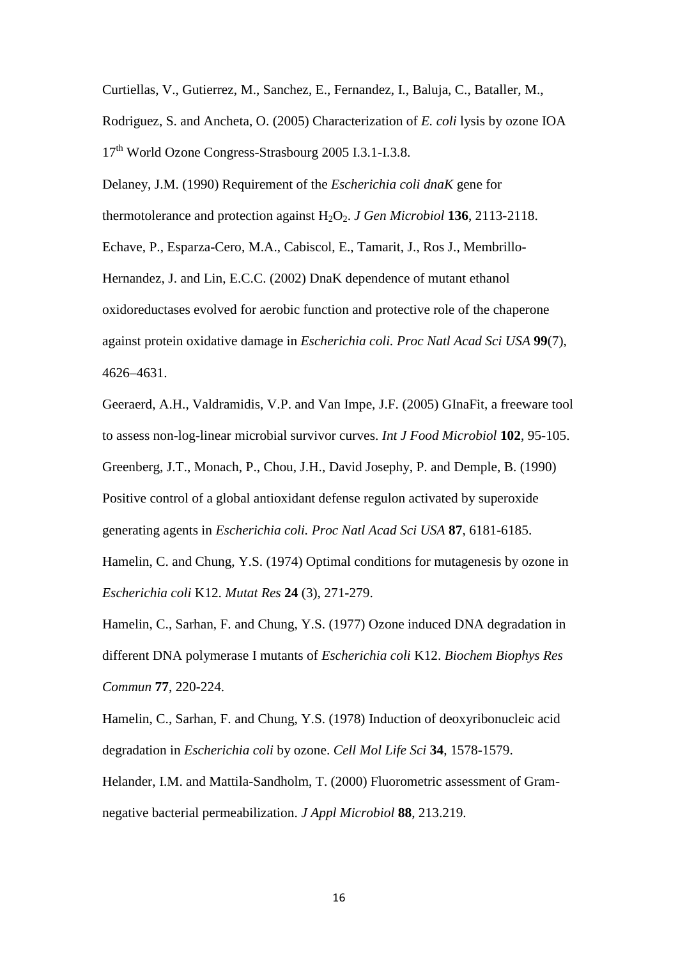Curtiellas, V., Gutierrez, M., Sanchez, E., Fernandez, I., Baluja, C., Bataller, M.,

Rodriguez, S. and Ancheta, O. (2005) Characterization of *E. coli* lysis by ozone IOA 17<sup>th</sup> World Ozone Congress-Strasbourg 2005 I.3.1-I.3.8.

Delaney, J.M. (1990) Requirement of the *Escherichia coli dnaK* gene for thermotolerance and protection against  $H_2O_2$ . *J Gen Microbiol* **136**, 2113-2118. Echave, P., Esparza-Cero, M.A., Cabiscol, E., Tamarit, J., Ros J., Membrillo-Hernandez, J. and Lin, E.C.C. (2002) DnaK dependence of mutant ethanol oxidoreductases evolved for aerobic function and protective role of the chaperone against protein oxidative damage in *Escherichia coli. Proc Natl Acad Sci USA* **99**(7), 4626–4631.

Geeraerd, A.H., Valdramidis, V.P. and Van Impe, J.F. (2005) GInaFit, a freeware tool to assess non-log-linear microbial survivor curves. *Int J Food Microbiol* **102**, 95-105. Greenberg, J.T., Monach, P., Chou, J.H., David Josephy, P. and Demple, B. (1990) Positive control of a global antioxidant defense regulon activated by superoxide generating agents in *Escherichia coli. Proc Natl Acad Sci USA* **87**, 6181-6185.

Hamelin, C. and Chung, Y.S. (1974) Optimal conditions for mutagenesis by ozone in *Escherichia coli* K12. *Mutat Res* **24** (3), 271-279.

Hamelin, C., Sarhan, F. and Chung, Y.S. (1977) Ozone induced DNA degradation in different DNA polymerase I mutants of *Escherichia coli* K12. *Biochem Biophys Res Commun* **77**, 220-224.

Hamelin, C., Sarhan, F. and Chung, Y.S. (1978) Induction of deoxyribonucleic acid degradation in *Escherichia coli* by ozone. *Cell Mol Life Sci* **34**, 1578-1579. Helander, I.M. and Mattila-Sandholm, T. (2000) Fluorometric assessment of Gramnegative bacterial permeabilization. *J Appl Microbiol* **88**, 213.219.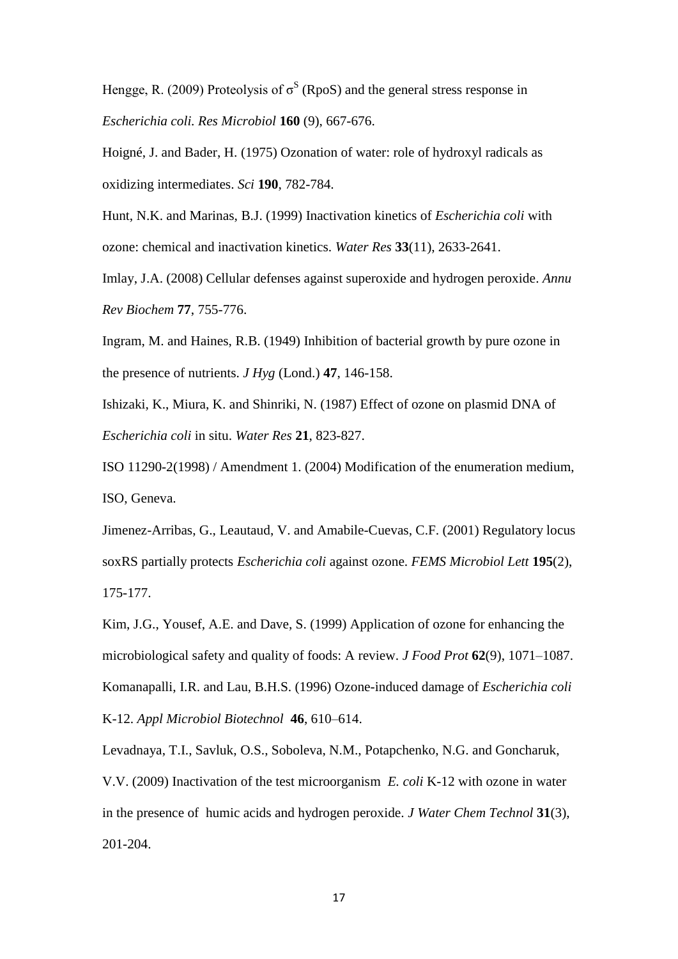Hengge, R. (2009) Proteolysis of  $\sigma^S$  (RpoS) and the general stress response in *Escherichia coli. Res Microbiol* **160** (9), 667-676.

Hoigné, J. and Bader, H. (1975) Ozonation of water: role of hydroxyl radicals as oxidizing intermediates. *Sci* **190**, 782-784.

Hunt, N.K. and Marinas, B.J. (1999) Inactivation kinetics of *Escherichia coli* with ozone: chemical and inactivation kinetics. *Water Res* **33**(11), 2633-2641.

Imlay, J.A. (2008) Cellular defenses against superoxide and hydrogen peroxide. *Annu Rev Biochem* **77**, 755-776.

Ingram, M. and Haines, R.B. (1949) Inhibition of bacterial growth by pure ozone in the presence of nutrients. *J Hyg* (Lond.) **47**, 146-158.

Ishizaki, K., Miura, K. and Shinriki, N. (1987) Effect of ozone on plasmid DNA of *Escherichia coli* in situ. *Water Res* **21**, 823-827.

ISO 11290-2(1998) / Amendment 1. (2004) Modification of the enumeration medium, ISO, Geneva.

Jimenez-Arribas, G., Leautaud, V. and Amabile-Cuevas, C.F. (2001) Regulatory locus soxRS partially protects *Escherichia coli* against ozone. *FEMS Microbiol Lett* **195**(2), 175-177.

Kim, J.G., Yousef, A.E. and Dave, S. (1999) Application of ozone for enhancing the microbiological safety and quality of foods: A review. *J Food Prot* **62**(9), 1071–1087. Komanapalli, I.R. and Lau, B.H.S. (1996) Ozone-induced damage of *Escherichia coli* K-12. *Appl Microbiol Biotechnol* **46**, 610–614.

Levadnaya, T.I., Savluk, O.S., Soboleva, N.M., Potapchenko, N.G. and Goncharuk, V.V. (2009) Inactivation of the test microorganism *E. coli* K-12 with ozone in water in the presence of humic acids and hydrogen peroxide. *J Water Chem Technol* **31**(3), 201-204.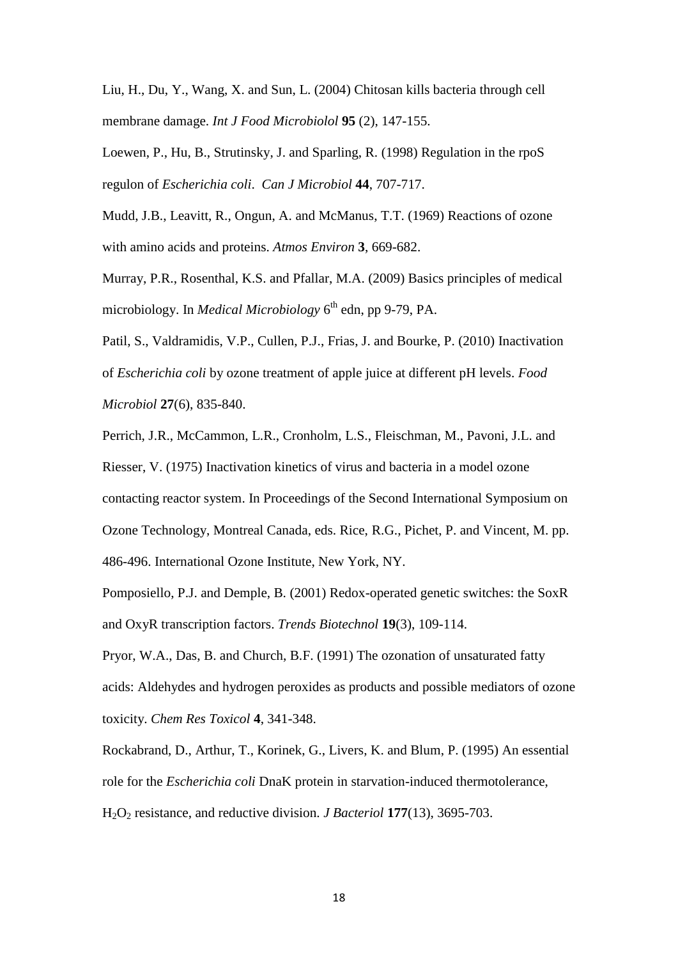Liu, H., Du, Y., Wang, X. and Sun, L. (2004) Chitosan kills bacteria through cell membrane damage. *Int J Food Microbiolol* **95** (2), 147-155.

Loewen, P., Hu, B., Strutinsky, J. and Sparling, R. (1998) Regulation in the rpoS regulon of *Escherichia coli*. *Can J Microbiol* **44**, 707-717.

Mudd, J.B., Leavitt, R., Ongun, A. and McManus, T.T. (1969) Reactions of ozone with amino acids and proteins. *Atmos Environ* **3**, 669-682.

Murray, P.R., Rosenthal, K.S. and Pfallar, M.A. (2009) Basics principles of medical microbiology. In *Medical Microbiology* 6 th edn, pp 9-79, PA.

Patil, S., Valdramidis, V.P., Cullen, P.J., Frias, J. and Bourke, P. (2010) Inactivation of *Escherichia coli* by ozone treatment of apple juice at different pH levels. *Food Microbiol* **27**(6), 835-840.

Perrich, J.R., McCammon, L.R., Cronholm, L.S., Fleischman, M., Pavoni, J.L. and Riesser, V. (1975) Inactivation kinetics of virus and bacteria in a model ozone contacting reactor system. In Proceedings of the Second International Symposium on Ozone Technology, Montreal Canada, eds. Rice, R.G., Pichet, P. and Vincent, M. pp. 486-496. International Ozone Institute, New York, NY.

Pomposiello, P.J. and Demple, B. (2001) Redox-operated genetic switches: the SoxR and OxyR transcription factors. *Trends Biotechnol* **19**(3), 109-114.

Pryor, W.A., Das, B. and Church, B.F. (1991) The ozonation of unsaturated fatty acids: Aldehydes and hydrogen peroxides as products and possible mediators of ozone toxicity. *Chem Res Toxicol* **4**, 341-348.

Rockabrand, D., Arthur, T., Korinek, G., Livers, K. and Blum, P. (1995) An essential role for the *Escherichia coli* DnaK protein in starvation-induced thermotolerance, H2O<sup>2</sup> resistance, and reductive division. *J Bacteriol* **177**(13), 3695-703.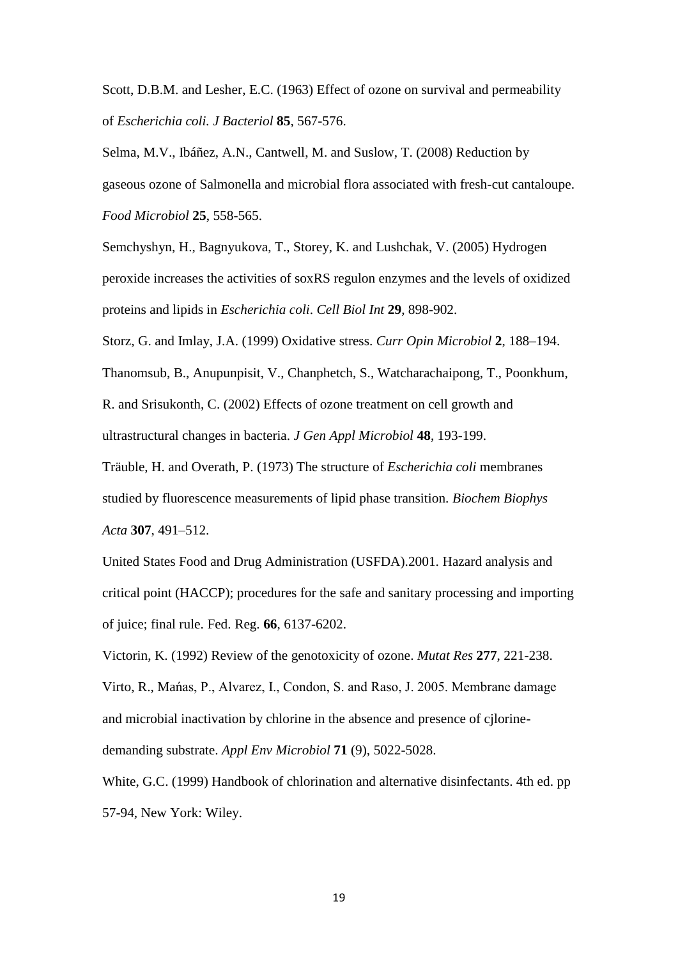Scott, D.B.M. and Lesher, E.C. (1963) Effect of ozone on survival and permeability of *Escherichia coli. J Bacteriol* **85**, 567-576.

Selma, M.V., Ibáñez, A.N., Cantwell, M. and Suslow, T. (2008) Reduction by gaseous ozone of Salmonella and microbial flora associated with fresh-cut cantaloupe. *Food Microbiol* **25**, 558-565.

Semchyshyn, H., Bagnyukova, T., Storey, K. and Lushchak, V. (2005) Hydrogen peroxide increases the activities of soxRS regulon enzymes and the levels of oxidized proteins and lipids in *Escherichia coli*. *Cell Biol Int* **29**, 898-902.

Storz, G. and Imlay, J.A. (1999) Oxidative stress. *Curr Opin Microbiol* **2**, 188–194.

Thanomsub, B., Anupunpisit, V., Chanphetch, S., Watcharachaipong, T., Poonkhum, R. and Srisukonth, C. (2002) Effects of ozone treatment on cell growth and ultrastructural changes in bacteria. *J Gen Appl Microbiol* **48**, 193-199.

Träuble, H. and Overath, P. (1973) The structure of *Escherichia coli* membranes studied by fluorescence measurements of lipid phase transition. *Biochem Biophys Acta* **307**, 491–512.

United States Food and Drug Administration (USFDA).2001. Hazard analysis and critical point (HACCP); procedures for the safe and sanitary processing and importing of juice; final rule. Fed. Reg. **66**, 6137-6202.

Victorin, K. (1992) Review of the genotoxicity of ozone. *Mutat Res* **277**, 221-238. Virto, R., Mańas, P., Alvarez, I., Condon, S. and Raso, J. 2005. Membrane damage and microbial inactivation by chlorine in the absence and presence of cjlorinedemanding substrate. *Appl Env Microbiol* **71** (9), 5022-5028.

White, G.C. (1999) Handbook of chlorination and alternative disinfectants. 4th ed. pp 57-94, New York: Wiley.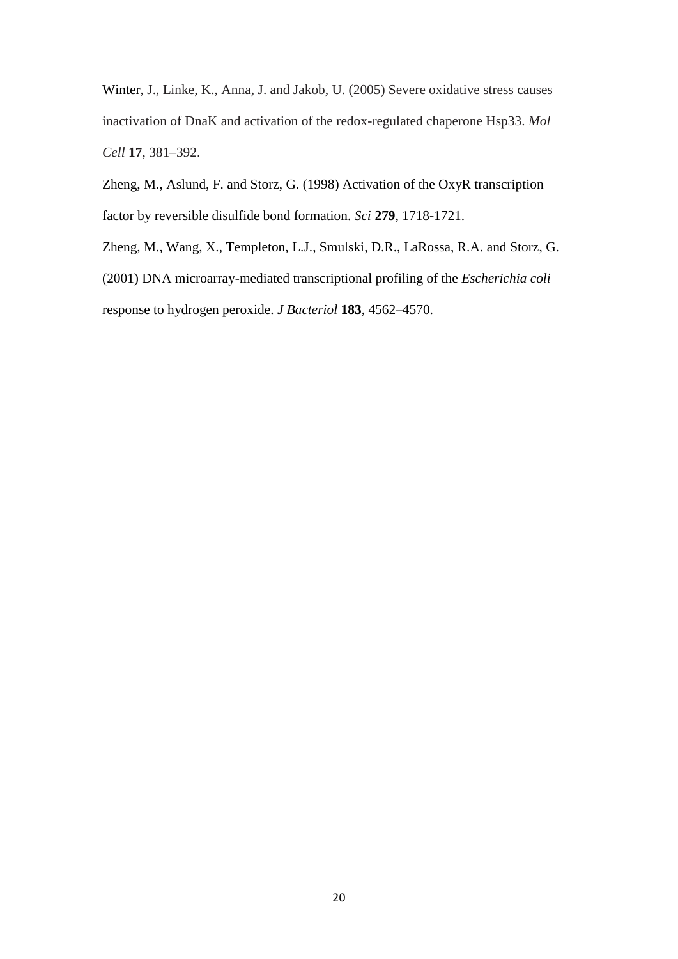Winter, J., Linke, K., Anna, J. and Jakob, U. (2005) Severe oxidative stress causes inactivation of DnaK and activation of the redox-regulated chaperone Hsp33. *Mol Cell* **17**, 381–392.

Zheng, M., Aslund, F. and Storz, G. (1998) Activation of the OxyR transcription factor by reversible disulfide bond formation. *Sci* **279**, 1718-1721.

Zheng, M., Wang, X., Templeton, L.J., Smulski, D.R., LaRossa, R.A. and Storz, G. (2001) DNA microarray-mediated transcriptional profiling of the *Escherichia coli* response to hydrogen peroxide. *J Bacteriol* **183**, 4562–4570.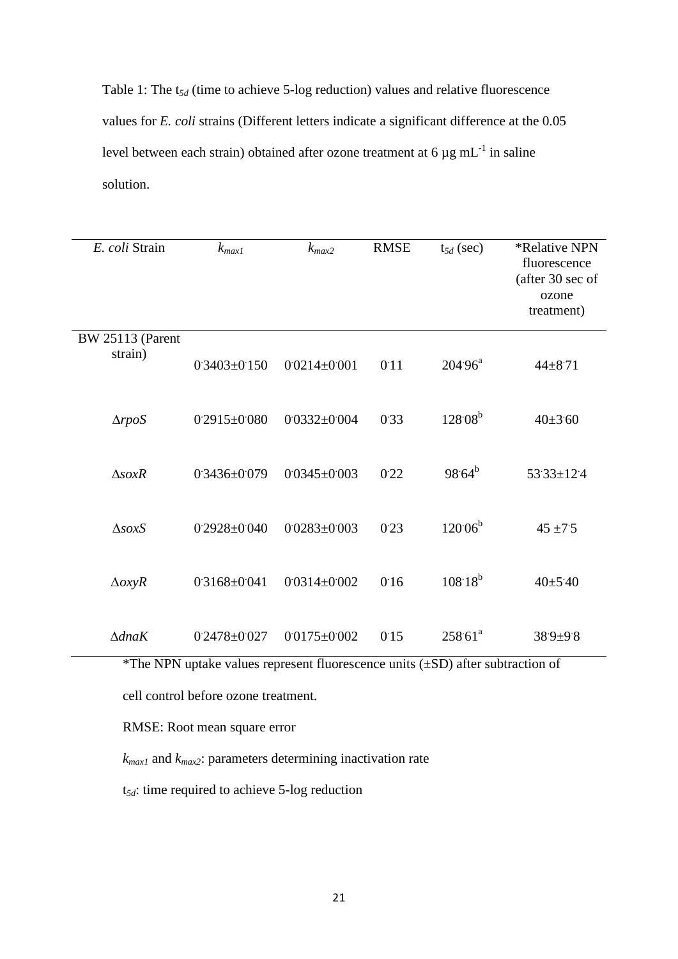Table 1: The t*5d* (time to achieve 5-log reduction) values and relative fluorescence values for *E. coli* strains (Different letters indicate a significant difference at the 0.05 level between each strain) obtained after ozone treatment at 6  $\mu$ g mL<sup>-1</sup> in saline solution.

| E. coli Strain                     | $k_{max1}$         | $k_{max2}$         | <b>RMSE</b> | $t_{5d}$ (sec) | <i><b>*Relative NPN</b></i><br>fluorescence<br>(after 30 sec of<br>ozone<br>treatment) |
|------------------------------------|--------------------|--------------------|-------------|----------------|----------------------------------------------------------------------------------------|
| <b>BW 25113 (Parent</b><br>strain) | $0.3403 \pm 0.150$ | $0.0214 \pm 0.001$ | 0:11        | $204.96^a$     | $44 + 871$                                                                             |
| $\triangle rpos$                   | $0.2915 \pm 0.080$ | $0.0332 \pm 0.004$ | 0.33        | $128.08^{b}$   | $40\pm3.60$                                                                            |
| $\triangle$ sox $R$                | $0.3436 \pm 0.079$ | $0.0345 \pm 0.003$ | 0.22        | $98.64^{b}$    | $53.33 \pm 12.4$                                                                       |
| $\triangle$ sox $S$                | $0.2928 \pm 0.040$ | $0.0283 \pm 0.003$ | 0.23        | $120.06^{b}$   | $45 + 7.5$                                                                             |
| $\triangle$ oxyR                   | 03168±0041         | $0.0314 \pm 0.002$ | 0.16        | $108.18^{b}$   | 40±540                                                                                 |
| $\triangle$ dna $K$                | $0.2478 + 0.027$   | $0.0175 \pm 0.002$ | 0.15        | $258.61^{a}$   | $389 + 98$                                                                             |

\*The NPN uptake values represent fluorescence units (±SD) after subtraction of

cell control before ozone treatment.

RMSE: Root mean square error

*kmax1* and *kmax2*: parameters determining inactivation rate

t*5d*: time required to achieve 5-log reduction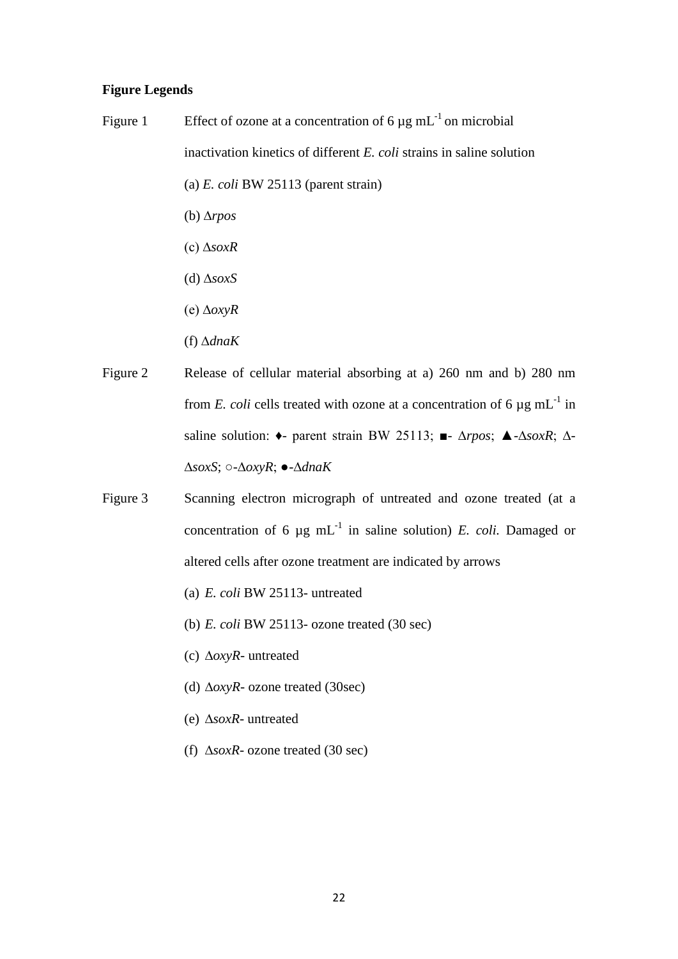# **Figure Legends**

- Figure 1 Effect of ozone at a concentration of 6  $\mu$ g mL<sup>-1</sup> on microbial inactivation kinetics of different *E. coli* strains in saline solution (a) *E. coli* BW 25113 (parent strain) (b) ∆*rpos* (c) ∆*soxR*
	- (d) ∆*soxS*
	- (e) ∆*oxyR*
	- (f) ∆*dnaK*
- Figure 2 Release of cellular material absorbing at a) 260 nm and b) 280 nm from *E. coli* cells treated with ozone at a concentration of 6  $\mu$ g mL<sup>-1</sup> in saline solution: ♦- parent strain BW 25113; ■- ∆*rpos*; ▲-∆*soxR*; ∆- ∆*soxS*; ○-∆*oxyR*; ●-∆*dnaK*
- Figure 3 Scanning electron micrograph of untreated and ozone treated (at a concentration of 6  $\mu$ g mL<sup>-1</sup> in saline solution) *E. coli.* Damaged or altered cells after ozone treatment are indicated by arrows
	- (a) *E. coli* BW 25113- untreated
	- (b) *E. coli* BW 25113- ozone treated (30 sec)
	- (c) ∆*oxyR* untreated
	- (d) ∆*oxyR* ozone treated (30sec)
	- (e) ∆*soxR* untreated
	- (f) ∆*soxR* ozone treated (30 sec)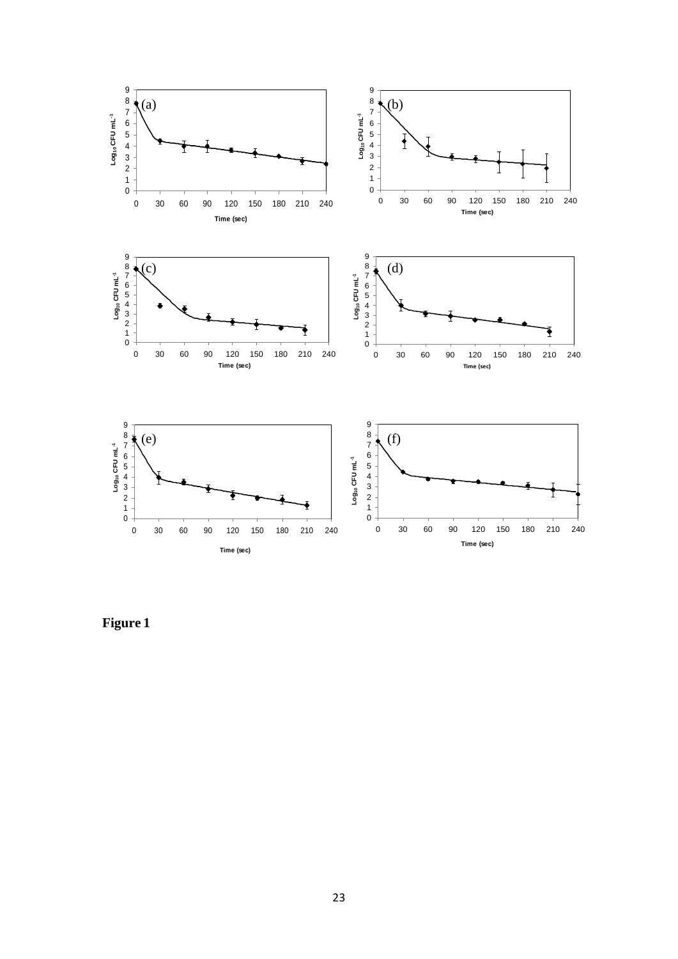

**Figure 1**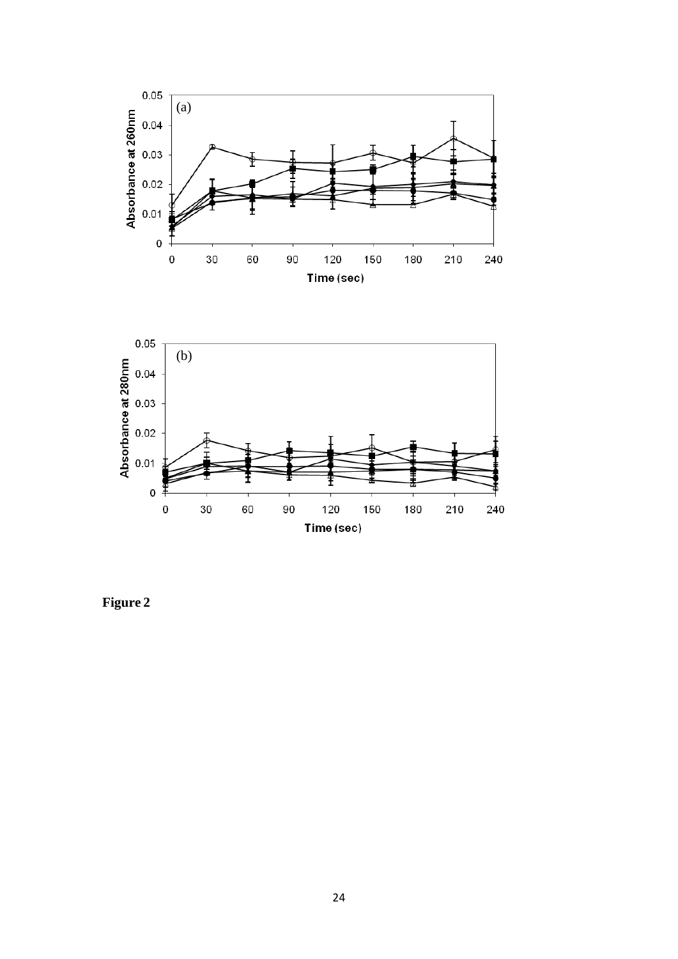

Time (sec)

**Figure 2**